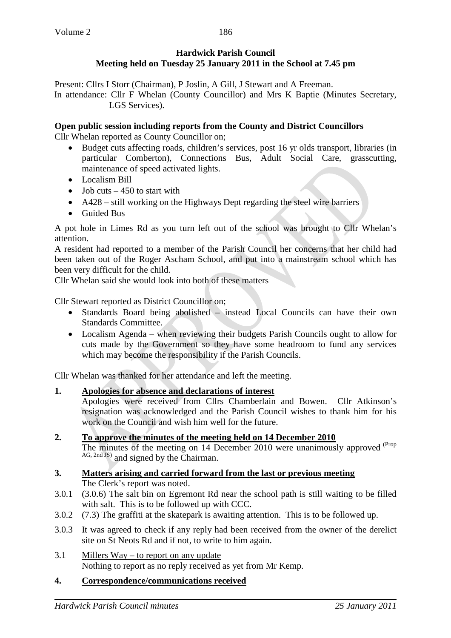Present: Cllrs I Storr (Chairman), P Joslin, A Gill, J Stewart and A Freeman. In attendance: Cllr F Whelan (County Councillor) and Mrs K Baptie (Minutes Secretary, LGS Services).

### **Open public session including reports from the County and District Councillors**

Cllr Whelan reported as County Councillor on;

- Budget cuts affecting roads, children's services, post 16 yr olds transport, libraries (in particular Comberton), Connections Bus, Adult Social Care, grasscutting, maintenance of speed activated lights.
- Localism Bill
- Job cuts  $-450$  to start with
- A428 still working on the Highways Dept regarding the steel wire barriers
- Guided Bus

A pot hole in Limes Rd as you turn left out of the school was brought to Cllr Whelan's attention.

A resident had reported to a member of the Parish Council her concerns that her child had been taken out of the Roger Ascham School, and put into a mainstream school which has been very difficult for the child.

Cllr Whelan said she would look into both of these matters

Cllr Stewart reported as District Councillor on;

- Standards Board being abolished instead Local Councils can have their own Standards Committee.
- Localism Agenda when reviewing their budgets Parish Councils ought to allow for cuts made by the Government so they have some headroom to fund any services which may become the responsibility if the Parish Councils.

Cllr Whelan was thanked for her attendance and left the meeting.

#### **1. Apologies for absence and declarations of interest**

Apologies were received from Cllrs Chamberlain and Bowen. Cllr Atkinson's resignation was acknowledged and the Parish Council wishes to thank him for his work on the Council and wish him well for the future.

### **2. To approve the minutes of the meeting held on 14 December 2010**

The minutes of the meeting on 14 December 2010 were unanimously approved <sup>(Prop</sup> AG, 2nd JS) and signed by the Chairman.

#### **3. Matters arising and carried forward from the last or previous meeting** The Clerk's report was noted.

- 3.0.1 (3.0.6) The salt bin on Egremont Rd near the school path is still waiting to be filled with salt. This is to be followed up with CCC.
- 3.0.2 (7.3) The graffiti at the skatepark is awaiting attention. This is to be followed up.
- 3.0.3 It was agreed to check if any reply had been received from the owner of the derelict site on St Neots Rd and if not, to write to him again.
- 3.1 Millers Way to report on any update Nothing to report as no reply received as yet from Mr Kemp.

#### **4. Correspondence/communications received**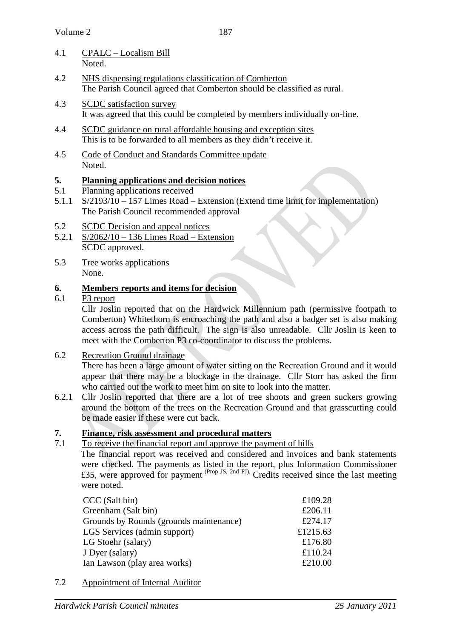- 4.1 CPALC Localism Bill Noted.
- 4.2 NHS dispensing regulations classification of Comberton The Parish Council agreed that Comberton should be classified as rural.
- 4.3 SCDC satisfaction survey It was agreed that this could be completed by members individually on-line.
- 4.4 SCDC guidance on rural affordable housing and exception sites This is to be forwarded to all members as they didn't receive it.
- 4.5 Code of Conduct and Standards Committee update Noted.

## **5. Planning applications and decision notices**

- 5.1 Planning applications received
- 5.1.1 S/2193/10 157 Limes Road Extension (Extend time limit for implementation) The Parish Council recommended approval
- 5.2 SCDC Decision and appeal notices
- 5.2.1 S/2062/10 136 Limes Road Extension SCDC approved.
- 5.3 Tree works applications None.

# **6. Members reports and items for decision**

6.1 P3 report

Cllr Joslin reported that on the Hardwick Millennium path (permissive footpath to Comberton) Whitethorn is encroaching the path and also a badger set is also making access across the path difficult. The sign is also unreadable. Cllr Joslin is keen to meet with the Comberton P3 co-coordinator to discuss the problems.

6.2 Recreation Ground drainage

There has been a large amount of water sitting on the Recreation Ground and it would appear that there may be a blockage in the drainage. Cllr Storr has asked the firm who carried out the work to meet him on site to look into the matter.

6.2.1 Cllr Joslin reported that there are a lot of tree shoots and green suckers growing around the bottom of the trees on the Recreation Ground and that grasscutting could be made easier if these were cut back.

## **7. Finance, risk assessment and procedural matters**

7.1 To receive the financial report and approve the payment of bills The financial report was received and considered and invoices and bank statements were checked. The payments as listed in the report, plus Information Commissioner £35, were approved for payment <sup>(Prop JS, 2nd PJ).</sup> Credits received since the last meeting were noted.

| CCC (Salt bin)                          | £109.28  |
|-----------------------------------------|----------|
| Greenham (Salt bin)                     | £206.11  |
| Grounds by Rounds (grounds maintenance) | £274.17  |
| LGS Services (admin support)            | £1215.63 |
| LG Stoehr (salary)                      | £176.80  |
| J Dyer (salary)                         | £110.24  |
| Ian Lawson (play area works)            | £210.00  |
|                                         |          |

7.2 Appointment of Internal Auditor